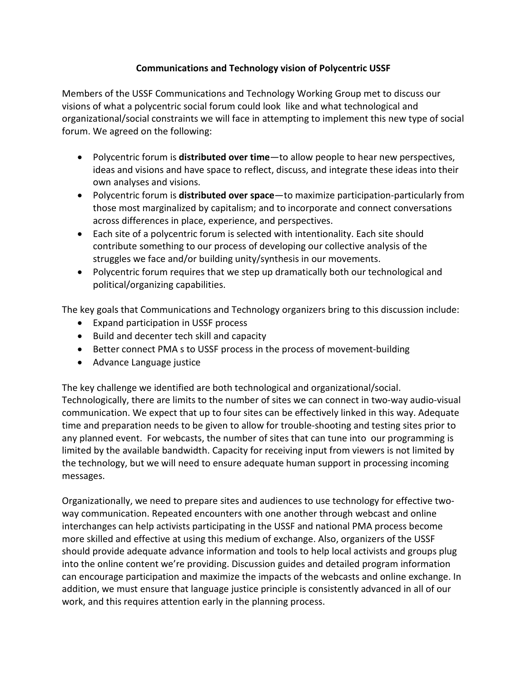## **Communications and Technology vision of Polycentric USSF**

Members of the USSF Communications and Technology Working Group met to discuss our visions of what a polycentric social forum could look like and what technological and organizational/social constraints we will face in attempting to implement this new type of social forum. We agreed on the following:

- Polycentric forum is **distributed over time**—to allow people to hear new perspectives, ideas and visions and have space to reflect, discuss, and integrate these ideas into their own analyses and visions.
- Polycentric forum is **distributed over space**—to maximize participation-particularly from those most marginalized by capitalism; and to incorporate and connect conversations across differences in place, experience, and perspectives.
- Each site of a polycentric forum is selected with intentionality. Each site should contribute something to our process of developing our collective analysis of the struggles we face and/or building unity/synthesis in our movements.
- Polycentric forum requires that we step up dramatically both our technological and political/organizing capabilities.

The key goals that Communications and Technology organizers bring to this discussion include:

- Expand participation in USSF process
- Build and decenter tech skill and capacity
- Better connect PMA s to USSF process in the process of movement-building
- Advance Language justice

The key challenge we identified are both technological and organizational/social. Technologically, there are limits to the number of sites we can connect in two-way audio-visual communication. We expect that up to four sites can be effectively linked in this way. Adequate time and preparation needs to be given to allow for trouble-shooting and testing sites prior to any planned event. For webcasts, the number of sites that can tune into our programming is limited by the available bandwidth. Capacity for receiving input from viewers is not limited by the technology, but we will need to ensure adequate human support in processing incoming messages.

Organizationally, we need to prepare sites and audiences to use technology for effective twoway communication. Repeated encounters with one another through webcast and online interchanges can help activists participating in the USSF and national PMA process become more skilled and effective at using this medium of exchange. Also, organizers of the USSF should provide adequate advance information and tools to help local activists and groups plug into the online content we're providing. Discussion guides and detailed program information can encourage participation and maximize the impacts of the webcasts and online exchange. In addition, we must ensure that language justice principle is consistently advanced in all of our work, and this requires attention early in the planning process.